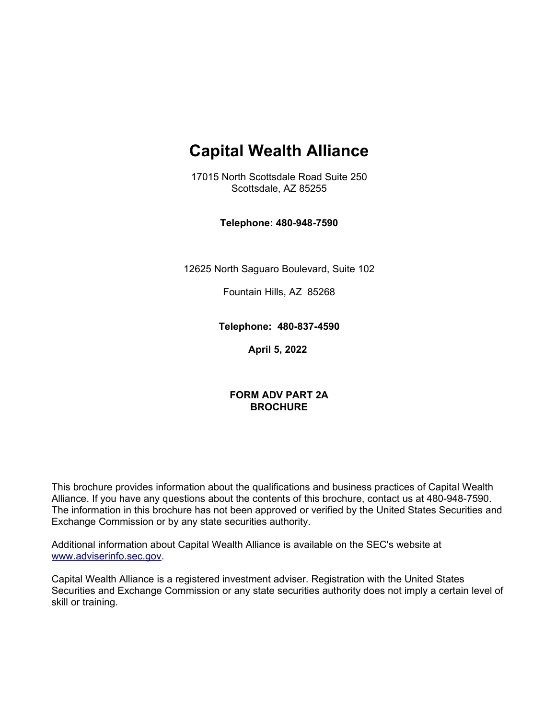# **Capital Wealth Alliance**

17015 North Scottsdale Road Suite 250 Scottsdale, AZ 85255

**Telephone: 480-948-7590**

12625 North Saguaro Boulevard, Suite 102

Fountain Hills, AZ 85268

**Telephone: 480-837-4590**

**April 5, 2022**

#### **FORM ADV PART 2A BROCHURE**

This brochure provides information about the qualifications and business practices of Capital Wealth Alliance. If you have any questions about the contents of this brochure, contact us at 480-948-7590. The information in this brochure has not been approved or verified by the United States Securities and Exchange Commission or by any state securities authority.

Additional information about Capital Wealth Alliance is available on the SEC's website at [www.adviserinfo.sec.gov.](http://www.adviserinfo.sec.gov/)

Capital Wealth Alliance is a registered investment adviser. Registration with the United States Securities and Exchange Commission or any state securities authority does not imply a certain level of skill or training.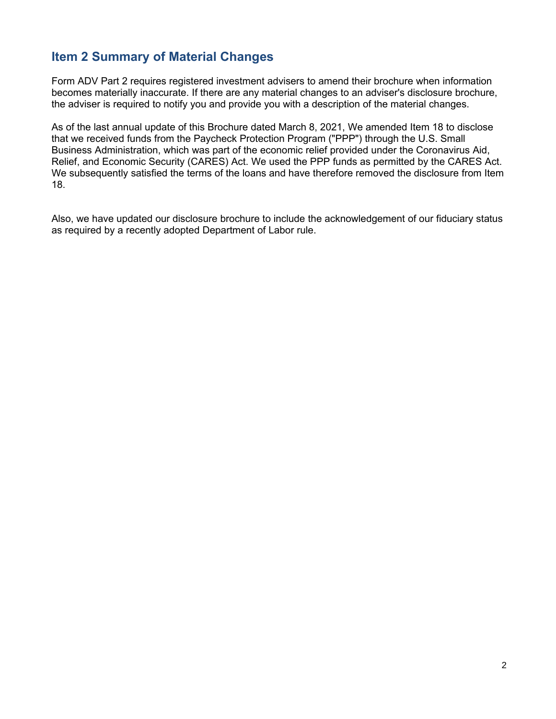# <span id="page-1-0"></span>**Item 2 Summary of Material Changes**

Form ADV Part 2 requires registered investment advisers to amend their brochure when information becomes materially inaccurate. If there are any material changes to an adviser's disclosure brochure, the adviser is required to notify you and provide you with a description of the material changes.

As of the last annual update of this Brochure dated March 8, 2021, We amended Item 18 to disclose that we received funds from the Paycheck Protection Program ("PPP") through the U.S. Small Business Administration, which was part of the economic relief provided under the Coronavirus Aid, Relief, and Economic Security (CARES) Act. We used the PPP funds as permitted by the CARES Act. We subsequently satisfied the terms of the loans and have therefore removed the disclosure from Item 18.

Also, we have updated our disclosure brochure to include the acknowledgement of our fiduciary status as required by a recently adopted Department of Labor rule.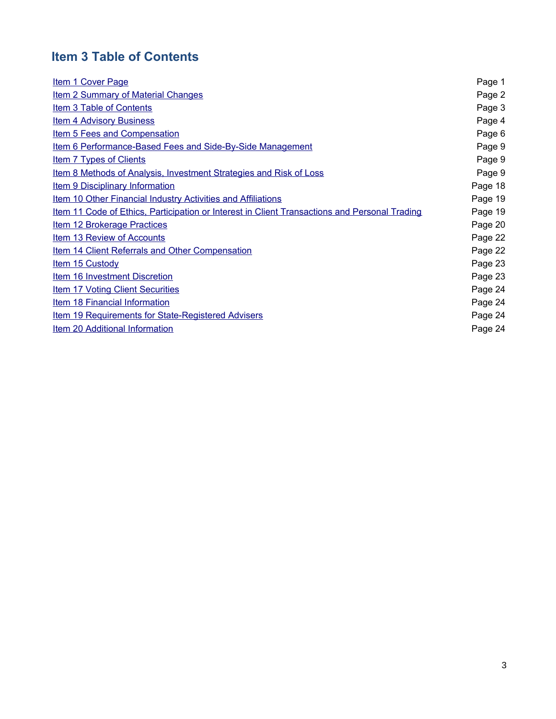# **Item 3 Table of Contents**

<span id="page-2-1"></span><span id="page-2-0"></span>

| <b>Item 1 Cover Page</b>                                                                             | Page 1  |
|------------------------------------------------------------------------------------------------------|---------|
| <b>Item 2 Summary of Material Changes</b>                                                            | Page 2  |
| Item 3 Table of Contents                                                                             | Page 3  |
| <b>Item 4 Advisory Business</b>                                                                      | Page 4  |
| <b>Item 5 Fees and Compensation</b>                                                                  | Page 6  |
| Item 6 Performance-Based Fees and Side-By-Side Management                                            | Page 9  |
| <b>Item 7 Types of Clients</b>                                                                       | Page 9  |
| Item 8 Methods of Analysis, Investment Strategies and Risk of Loss                                   | Page 9  |
| <b>Item 9 Disciplinary Information</b>                                                               | Page 18 |
| <b>Item 10 Other Financial Industry Activities and Affiliations</b>                                  | Page 19 |
| <u>Item 11 Code of Ethics, Participation or Interest in Client Transactions and Personal Trading</u> | Page 19 |
| <b>Item 12 Brokerage Practices</b>                                                                   | Page 20 |
| Item 13 Review of Accounts                                                                           | Page 22 |
| Item 14 Client Referrals and Other Compensation                                                      | Page 22 |
| <b>Item 15 Custody</b>                                                                               | Page 23 |
| <b>Item 16 Investment Discretion</b>                                                                 | Page 23 |
| <b>Item 17 Voting Client Securities</b>                                                              | Page 24 |
| Item 18 Financial Information                                                                        | Page 24 |
| <b>Item 19 Requirements for State-Registered Advisers</b>                                            | Page 24 |
| Item 20 Additional Information                                                                       | Page 24 |
|                                                                                                      |         |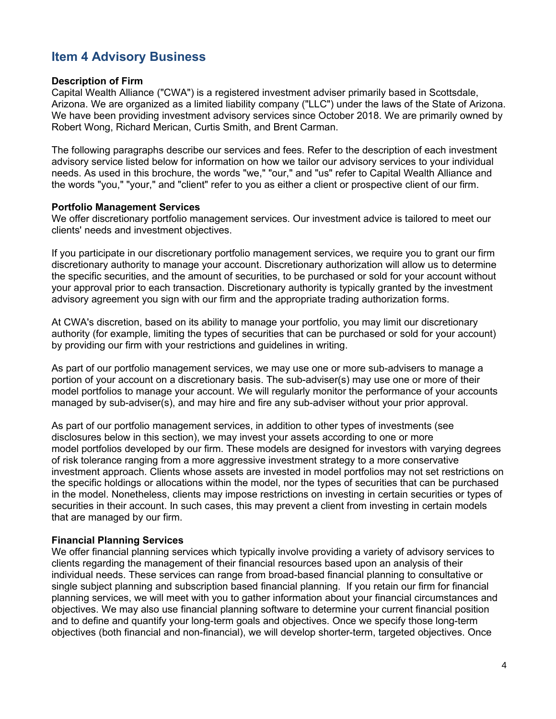# <span id="page-3-0"></span>**Item 4 Advisory Business**

#### **Description of Firm**

Capital Wealth Alliance ("CWA") is a registered investment adviser primarily based in Scottsdale, Arizona. We are organized as a limited liability company ("LLC") under the laws of the State of Arizona. We have been providing investment advisory services since October 2018. We are primarily owned by Robert Wong, Richard Merican, Curtis Smith, and Brent Carman.

The following paragraphs describe our services and fees. Refer to the description of each investment advisory service listed below for information on how we tailor our advisory services to your individual needs. As used in this brochure, the words "we," "our," and "us" refer to Capital Wealth Alliance and the words "you," "your," and "client" refer to you as either a client or prospective client of our firm.

#### **Portfolio Management Services**

We offer discretionary portfolio management services. Our investment advice is tailored to meet our clients' needs and investment objectives.

If you participate in our discretionary portfolio management services, we require you to grant our firm discretionary authority to manage your account. Discretionary authorization will allow us to determine the specific securities, and the amount of securities, to be purchased or sold for your account without your approval prior to each transaction. Discretionary authority is typically granted by the investment advisory agreement you sign with our firm and the appropriate trading authorization forms.

At CWA's discretion, based on its ability to manage your portfolio, you may limit our discretionary authority (for example, limiting the types of securities that can be purchased or sold for your account) by providing our firm with your restrictions and guidelines in writing.

As part of our portfolio management services, we may use one or more sub-advisers to manage a portion of your account on a discretionary basis. The sub-adviser(s) may use one or more of their model portfolios to manage your account. We will regularly monitor the performance of your accounts managed by sub-adviser(s), and may hire and fire any sub-adviser without your prior approval.

As part of our portfolio management services, in addition to other types of investments (see disclosures below in this section), we may invest your assets according to one or more model portfolios developed by our firm. These models are designed for investors with varying degrees of risk tolerance ranging from a more aggressive investment strategy to a more conservative investment approach. Clients whose assets are invested in model portfolios may not set restrictions on the specific holdings or allocations within the model, nor the types of securities that can be purchased in the model. Nonetheless, clients may impose restrictions on investing in certain securities or types of securities in their account. In such cases, this may prevent a client from investing in certain models that are managed by our firm.

#### **Financial Planning Services**

We offer financial planning services which typically involve providing a variety of advisory services to clients regarding the management of their financial resources based upon an analysis of their individual needs. These services can range from broad-based financial planning to consultative or single subject planning and subscription based financial planning. If you retain our firm for financial planning services, we will meet with you to gather information about your financial circumstances and objectives. We may also use financial planning software to determine your current financial position and to define and quantify your long-term goals and objectives. Once we specify those long-term objectives (both financial and non-financial), we will develop shorter-term, targeted objectives. Once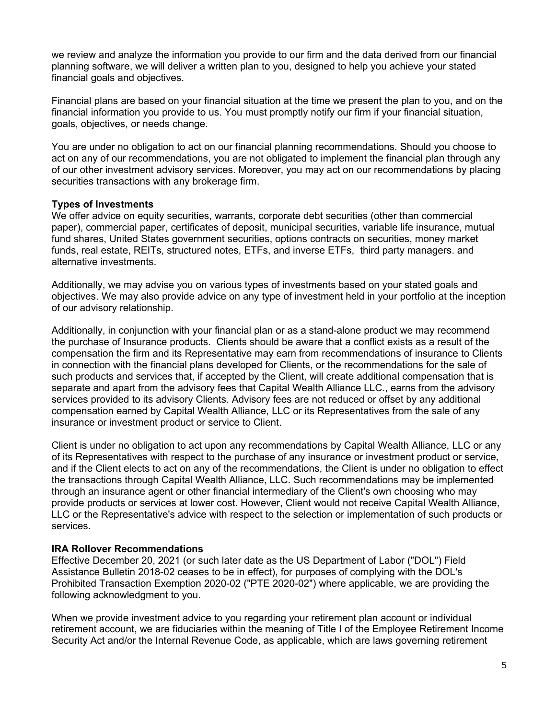we review and analyze the information you provide to our firm and the data derived from our financial planning software, we will deliver a written plan to you, designed to help you achieve your stated financial goals and objectives.

Financial plans are based on your financial situation at the time we present the plan to you, and on the financial information you provide to us. You must promptly notify our firm if your financial situation, goals, objectives, or needs change.

You are under no obligation to act on our financial planning recommendations. Should you choose to act on any of our recommendations, you are not obligated to implement the financial plan through any of our other investment advisory services. Moreover, you may act on our recommendations by placing securities transactions with any brokerage firm.

#### **Types of Investments**

We offer advice on equity securities, warrants, corporate debt securities (other than commercial paper), commercial paper, certificates of deposit, municipal securities, variable life insurance, mutual fund shares, United States government securities, options contracts on securities, money market funds, real estate, REITs, structured notes, ETFs, and inverse ETFs, third party managers. and alternative investments.

Additionally, we may advise you on various types of investments based on your stated goals and objectives. We may also provide advice on any type of investment held in your portfolio at the inception of our advisory relationship.

Additionally, in conjunction with your financial plan or as a stand-alone product we may recommend the purchase of Insurance products. Clients should be aware that a conflict exists as a result of the compensation the firm and its Representative may earn from recommendations of insurance to Clients in connection with the financial plans developed for Clients, or the recommendations for the sale of such products and services that, if accepted by the Client, will create additional compensation that is separate and apart from the advisory fees that Capital Wealth Alliance LLC., earns from the advisory services provided to its advisory Clients. Advisory fees are not reduced or offset by any additional compensation earned by Capital Wealth Alliance, LLC or its Representatives from the sale of any insurance or investment product or service to Client.

Client is under no obligation to act upon any recommendations by Capital Wealth Alliance, LLC or any of its Representatives with respect to the purchase of any insurance or investment product or service, and if the Client elects to act on any of the recommendations, the Client is under no obligation to effect the transactions through Capital Wealth Alliance, LLC. Such recommendations may be implemented through an insurance agent or other financial intermediary of the Client's own choosing who may provide products or services at lower cost. However, Client would not receive Capital Wealth Alliance, LLC or the Representative's advice with respect to the selection or implementation of such products or services.

#### **IRA Rollover Recommendations**

Effective December 20, 2021 (or such later date as the US Department of Labor ("DOL") Field Assistance Bulletin 2018-02 ceases to be in effect), for purposes of complying with the DOL's Prohibited Transaction Exemption 2020-02 ("PTE 2020-02") where applicable, we are providing the following acknowledgment to you.

When we provide investment advice to you regarding your retirement plan account or individual retirement account, we are fiduciaries within the meaning of Title I of the Employee Retirement Income Security Act and/or the Internal Revenue Code, as applicable, which are laws governing retirement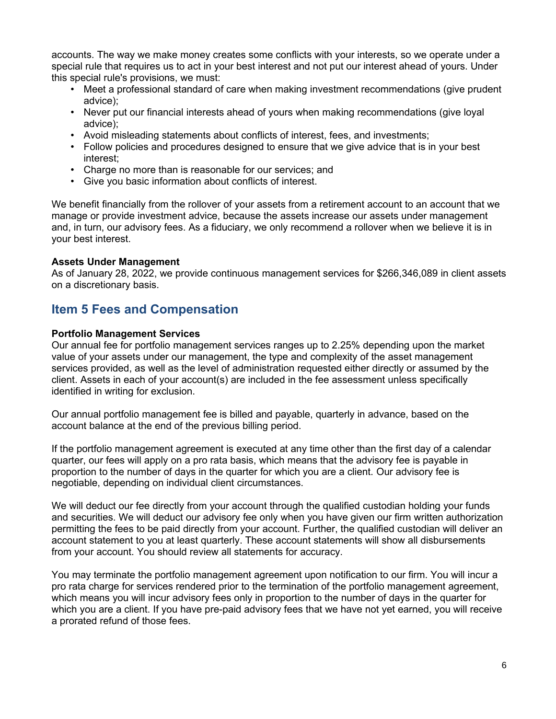accounts. The way we make money creates some conflicts with your interests, so we operate under a special rule that requires us to act in your best interest and not put our interest ahead of yours. Under this special rule's provisions, we must:

- Meet a professional standard of care when making investment recommendations (give prudent advice);
- Never put our financial interests ahead of yours when making recommendations (give loyal advice);
- Avoid misleading statements about conflicts of interest, fees, and investments;
- Follow policies and procedures designed to ensure that we give advice that is in your best interest;
- Charge no more than is reasonable for our services; and
- Give you basic information about conflicts of interest.

We benefit financially from the rollover of your assets from a retirement account to an account that we manage or provide investment advice, because the assets increase our assets under management and, in turn, our advisory fees. As a fiduciary, we only recommend a rollover when we believe it is in your best interest.

#### **Assets Under Management**

As of January 28, 2022, we provide continuous management services for \$266,346,089 in client assets on a discretionary basis.

### <span id="page-5-0"></span>**Item 5 Fees and Compensation**

#### **Portfolio Management Services**

Our annual fee for portfolio management services ranges up to 2.25% depending upon the market value of your assets under our management, the type and complexity of the asset management services provided, as well as the level of administration requested either directly or assumed by the client. Assets in each of your account(s) are included in the fee assessment unless specifically identified in writing for exclusion.

Our annual portfolio management fee is billed and payable, quarterly in advance, based on the account balance at the end of the previous billing period.

If the portfolio management agreement is executed at any time other than the first day of a calendar quarter, our fees will apply on a pro rata basis, which means that the advisory fee is payable in proportion to the number of days in the quarter for which you are a client. Our advisory fee is negotiable, depending on individual client circumstances.

We will deduct our fee directly from your account through the qualified custodian holding your funds and securities. We will deduct our advisory fee only when you have given our firm written authorization permitting the fees to be paid directly from your account. Further, the qualified custodian will deliver an account statement to you at least quarterly. These account statements will show all disbursements from your account. You should review all statements for accuracy.

You may terminate the portfolio management agreement upon notification to our firm. You will incur a pro rata charge for services rendered prior to the termination of the portfolio management agreement, which means you will incur advisory fees only in proportion to the number of days in the quarter for which you are a client. If you have pre-paid advisory fees that we have not yet earned, you will receive a prorated refund of those fees.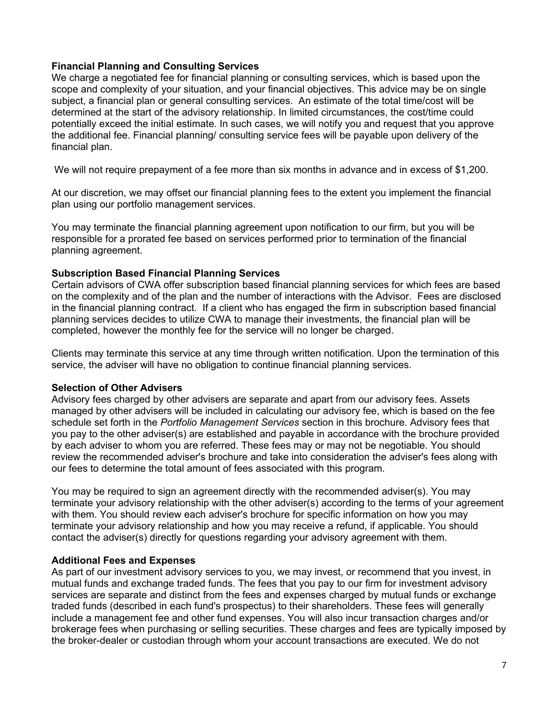#### **Financial Planning and Consulting Services**

We charge a negotiated fee for financial planning or consulting services, which is based upon the scope and complexity of your situation, and your financial objectives. This advice may be on single subject, a financial plan or general consulting services. An estimate of the total time/cost will be determined at the start of the advisory relationship. In limited circumstances, the cost/time could potentially exceed the initial estimate. In such cases, we will notify you and request that you approve the additional fee. Financial planning/ consulting service fees will be payable upon delivery of the financial plan.

We will not require prepayment of a fee more than six months in advance and in excess of \$1,200.

At our discretion, we may offset our financial planning fees to the extent you implement the financial plan using our portfolio management services.

You may terminate the financial planning agreement upon notification to our firm, but you will be responsible for a prorated fee based on services performed prior to termination of the financial planning agreement.

#### **Subscription Based Financial Planning Services**

Certain advisors of CWA offer subscription based financial planning services for which fees are based on the complexity and of the plan and the number of interactions with the Advisor. Fees are disclosed in the financial planning contract. If a client who has engaged the firm in subscription based financial planning services decides to utilize CWA to manage their investments, the financial plan will be completed, however the monthly fee for the service will no longer be charged.

Clients may terminate this service at any time through written notification. Upon the termination of this service, the adviser will have no obligation to continue financial planning services.

#### **Selection of Other Advisers**

Advisory fees charged by other advisers are separate and apart from our advisory fees. Assets managed by other advisers will be included in calculating our advisory fee, which is based on the fee schedule set forth in the *Portfolio Management Services* section in this brochure. Advisory fees that you pay to the other adviser(s) are established and payable in accordance with the brochure provided by each adviser to whom you are referred. These fees may or may not be negotiable. You should review the recommended adviser's brochure and take into consideration the adviser's fees along with our fees to determine the total amount of fees associated with this program.

You may be required to sign an agreement directly with the recommended adviser(s). You may terminate your advisory relationship with the other adviser(s) according to the terms of your agreement with them. You should review each adviser's brochure for specific information on how you may terminate your advisory relationship and how you may receive a refund, if applicable. You should contact the adviser(s) directly for questions regarding your advisory agreement with them.

#### **Additional Fees and Expenses**

As part of our investment advisory services to you, we may invest, or recommend that you invest, in mutual funds and exchange traded funds. The fees that you pay to our firm for investment advisory services are separate and distinct from the fees and expenses charged by mutual funds or exchange traded funds (described in each fund's prospectus) to their shareholders. These fees will generally include a management fee and other fund expenses. You will also incur transaction charges and/or brokerage fees when purchasing or selling securities. These charges and fees are typically imposed by the broker-dealer or custodian through whom your account transactions are executed. We do not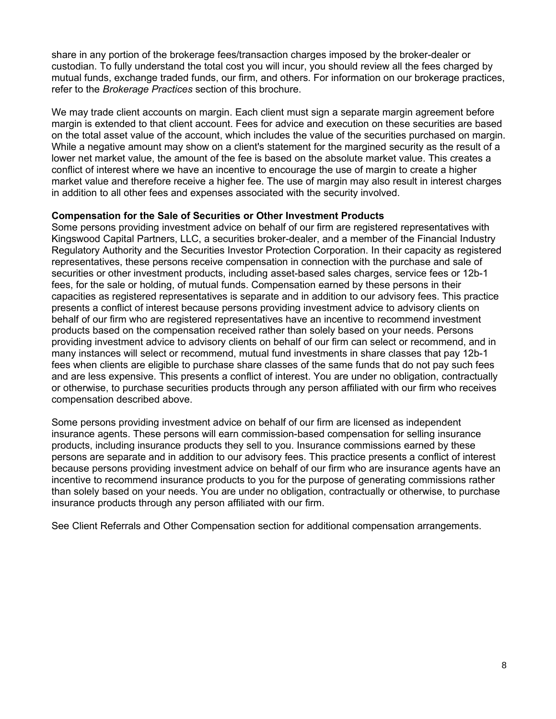share in any portion of the brokerage fees/transaction charges imposed by the broker-dealer or custodian. To fully understand the total cost you will incur, you should review all the fees charged by mutual funds, exchange traded funds, our firm, and others. For information on our brokerage practices, refer to the *Brokerage Practices* section of this brochure.

We may trade client accounts on margin. Each client must sign a separate margin agreement before margin is extended to that client account. Fees for advice and execution on these securities are based on the total asset value of the account, which includes the value of the securities purchased on margin. While a negative amount may show on a client's statement for the margined security as the result of a lower net market value, the amount of the fee is based on the absolute market value. This creates a conflict of interest where we have an incentive to encourage the use of margin to create a higher market value and therefore receive a higher fee. The use of margin may also result in interest charges in addition to all other fees and expenses associated with the security involved.

#### **Compensation for the Sale of Securities or Other Investment Products**

Some persons providing investment advice on behalf of our firm are registered representatives with Kingswood Capital Partners, LLC, a securities broker-dealer, and a member of the Financial Industry Regulatory Authority and the Securities Investor Protection Corporation. In their capacity as registered representatives, these persons receive compensation in connection with the purchase and sale of securities or other investment products, including asset-based sales charges, service fees or 12b-1 fees, for the sale or holding, of mutual funds. Compensation earned by these persons in their capacities as registered representatives is separate and in addition to our advisory fees. This practice presents a conflict of interest because persons providing investment advice to advisory clients on behalf of our firm who are registered representatives have an incentive to recommend investment products based on the compensation received rather than solely based on your needs. Persons providing investment advice to advisory clients on behalf of our firm can select or recommend, and in many instances will select or recommend, mutual fund investments in share classes that pay 12b-1 fees when clients are eligible to purchase share classes of the same funds that do not pay such fees and are less expensive. This presents a conflict of interest. You are under no obligation, contractually or otherwise, to purchase securities products through any person affiliated with our firm who receives compensation described above.

Some persons providing investment advice on behalf of our firm are licensed as independent insurance agents. These persons will earn commission-based compensation for selling insurance products, including insurance products they sell to you. Insurance commissions earned by these persons are separate and in addition to our advisory fees. This practice presents a conflict of interest because persons providing investment advice on behalf of our firm who are insurance agents have an incentive to recommend insurance products to you for the purpose of generating commissions rather than solely based on your needs. You are under no obligation, contractually or otherwise, to purchase insurance products through any person affiliated with our firm.

See Client Referrals and Other Compensation section for additional compensation arrangements.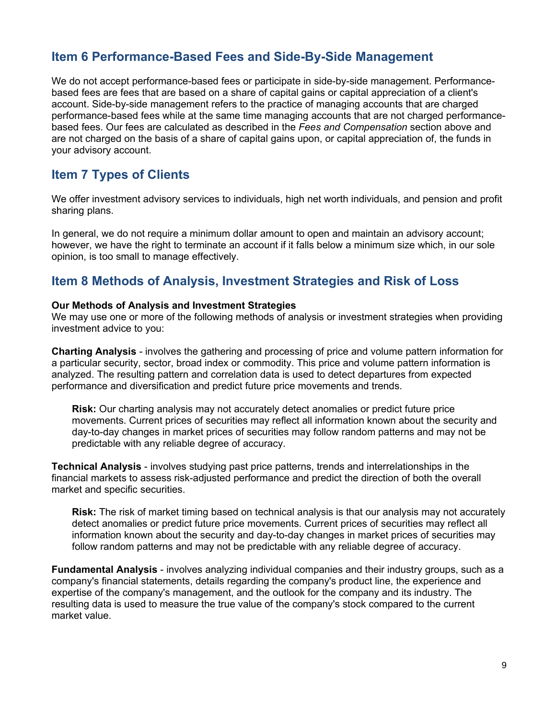# <span id="page-8-2"></span>**Item 6 Performance-Based Fees and Side-By-Side Management**

We do not accept performance-based fees or participate in side-by-side management. Performancebased fees are fees that are based on a share of capital gains or capital appreciation of a client's account. Side-by-side management refers to the practice of managing accounts that are charged performance-based fees while at the same time managing accounts that are not charged performancebased fees. Our fees are calculated as described in the *Fees and Compensation* section above and are not charged on the basis of a share of capital gains upon, or capital appreciation of, the funds in your advisory account.

# <span id="page-8-1"></span>**Item 7 Types of Clients**

We offer investment advisory services to individuals, high net worth individuals, and pension and profit sharing plans.

In general, we do not require a minimum dollar amount to open and maintain an advisory account; however, we have the right to terminate an account if it falls below a minimum size which, in our sole opinion, is too small to manage effectively.

### <span id="page-8-0"></span>**Item 8 Methods of Analysis, Investment Strategies and Risk of Loss**

#### **Our Methods of Analysis and Investment Strategies**

We may use one or more of the following methods of analysis or investment strategies when providing investment advice to you:

**Charting Analysis** - involves the gathering and processing of price and volume pattern information for a particular security, sector, broad index or commodity. This price and volume pattern information is analyzed. The resulting pattern and correlation data is used to detect departures from expected performance and diversification and predict future price movements and trends.

**Risk:** Our charting analysis may not accurately detect anomalies or predict future price movements. Current prices of securities may reflect all information known about the security and day-to-day changes in market prices of securities may follow random patterns and may not be predictable with any reliable degree of accuracy.

**Technical Analysis** - involves studying past price patterns, trends and interrelationships in the financial markets to assess risk-adjusted performance and predict the direction of both the overall market and specific securities.

**Risk:** The risk of market timing based on technical analysis is that our analysis may not accurately detect anomalies or predict future price movements. Current prices of securities may reflect all information known about the security and day-to-day changes in market prices of securities may follow random patterns and may not be predictable with any reliable degree of accuracy.

**Fundamental Analysis** - involves analyzing individual companies and their industry groups, such as a company's financial statements, details regarding the company's product line, the experience and expertise of the company's management, and the outlook for the company and its industry. The resulting data is used to measure the true value of the company's stock compared to the current market value.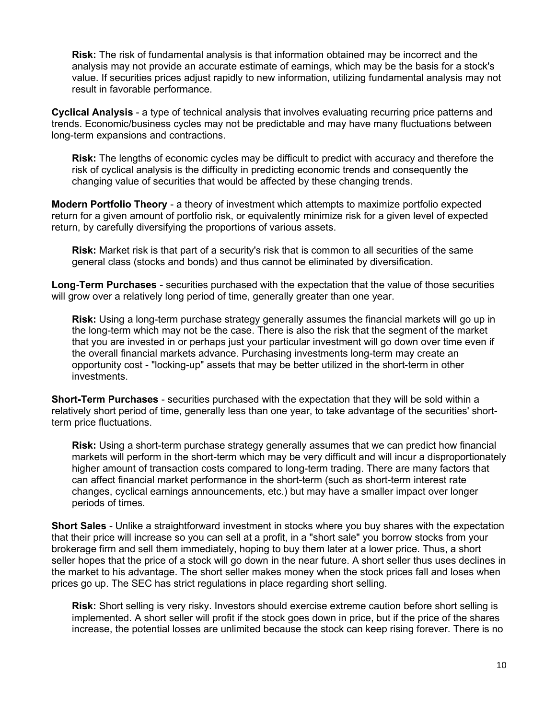**Risk:** The risk of fundamental analysis is that information obtained may be incorrect and the analysis may not provide an accurate estimate of earnings, which may be the basis for a stock's value. If securities prices adjust rapidly to new information, utilizing fundamental analysis may not result in favorable performance.

**Cyclical Analysis** - a type of technical analysis that involves evaluating recurring price patterns and trends. Economic/business cycles may not be predictable and may have many fluctuations between long-term expansions and contractions.

**Risk:** The lengths of economic cycles may be difficult to predict with accuracy and therefore the risk of cyclical analysis is the difficulty in predicting economic trends and consequently the changing value of securities that would be affected by these changing trends.

**Modern Portfolio Theory** - a theory of investment which attempts to maximize portfolio expected return for a given amount of portfolio risk, or equivalently minimize risk for a given level of expected return, by carefully diversifying the proportions of various assets.

**Risk:** Market risk is that part of a security's risk that is common to all securities of the same general class (stocks and bonds) and thus cannot be eliminated by diversification.

**Long-Term Purchases** - securities purchased with the expectation that the value of those securities will grow over a relatively long period of time, generally greater than one year.

**Risk:** Using a long-term purchase strategy generally assumes the financial markets will go up in the long-term which may not be the case. There is also the risk that the segment of the market that you are invested in or perhaps just your particular investment will go down over time even if the overall financial markets advance. Purchasing investments long-term may create an opportunity cost - "locking-up" assets that may be better utilized in the short-term in other investments.

**Short-Term Purchases** - securities purchased with the expectation that they will be sold within a relatively short period of time, generally less than one year, to take advantage of the securities' shortterm price fluctuations.

**Risk:** Using a short-term purchase strategy generally assumes that we can predict how financial markets will perform in the short-term which may be very difficult and will incur a disproportionately higher amount of transaction costs compared to long-term trading. There are many factors that can affect financial market performance in the short-term (such as short-term interest rate changes, cyclical earnings announcements, etc.) but may have a smaller impact over longer periods of times.

**Short Sales** - Unlike a straightforward investment in stocks where you buy shares with the expectation that their price will increase so you can sell at a profit, in a "short sale" you borrow stocks from your brokerage firm and sell them immediately, hoping to buy them later at a lower price. Thus, a short seller hopes that the price of a stock will go down in the near future. A short seller thus uses declines in the market to his advantage. The short seller makes money when the stock prices fall and loses when prices go up. The SEC has strict regulations in place regarding short selling.

**Risk:** Short selling is very risky. Investors should exercise extreme caution before short selling is implemented. A short seller will profit if the stock goes down in price, but if the price of the shares increase, the potential losses are unlimited because the stock can keep rising forever. There is no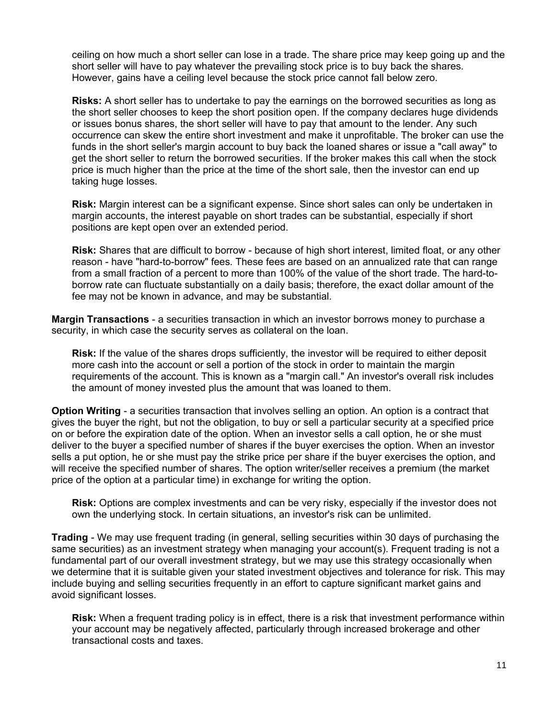ceiling on how much a short seller can lose in a trade. The share price may keep going up and the short seller will have to pay whatever the prevailing stock price is to buy back the shares. However, gains have a ceiling level because the stock price cannot fall below zero.

**Risks:** A short seller has to undertake to pay the earnings on the borrowed securities as long as the short seller chooses to keep the short position open. If the company declares huge dividends or issues bonus shares, the short seller will have to pay that amount to the lender. Any such occurrence can skew the entire short investment and make it unprofitable. The broker can use the funds in the short seller's margin account to buy back the loaned shares or issue a "call away" to get the short seller to return the borrowed securities. If the broker makes this call when the stock price is much higher than the price at the time of the short sale, then the investor can end up taking huge losses.

**Risk:** Margin interest can be a significant expense. Since short sales can only be undertaken in margin accounts, the interest payable on short trades can be substantial, especially if short positions are kept open over an extended period.

**Risk:** Shares that are difficult to borrow - because of high short interest, limited float, or any other reason - have "hard-to-borrow" fees. These fees are based on an annualized rate that can range from a small fraction of a percent to more than 100% of the value of the short trade. The hard-toborrow rate can fluctuate substantially on a daily basis; therefore, the exact dollar amount of the fee may not be known in advance, and may be substantial.

**Margin Transactions** - a securities transaction in which an investor borrows money to purchase a security, in which case the security serves as collateral on the loan.

**Risk:** If the value of the shares drops sufficiently, the investor will be required to either deposit more cash into the account or sell a portion of the stock in order to maintain the margin requirements of the account. This is known as a "margin call." An investor's overall risk includes the amount of money invested plus the amount that was loaned to them.

**Option Writing** - a securities transaction that involves selling an option. An option is a contract that gives the buyer the right, but not the obligation, to buy or sell a particular security at a specified price on or before the expiration date of the option. When an investor sells a call option, he or she must deliver to the buyer a specified number of shares if the buyer exercises the option. When an investor sells a put option, he or she must pay the strike price per share if the buyer exercises the option, and will receive the specified number of shares. The option writer/seller receives a premium (the market price of the option at a particular time) in exchange for writing the option.

**Risk:** Options are complex investments and can be very risky, especially if the investor does not own the underlying stock. In certain situations, an investor's risk can be unlimited.

**Trading** - We may use frequent trading (in general, selling securities within 30 days of purchasing the same securities) as an investment strategy when managing your account(s). Frequent trading is not a fundamental part of our overall investment strategy, but we may use this strategy occasionally when we determine that it is suitable given your stated investment objectives and tolerance for risk. This may include buying and selling securities frequently in an effort to capture significant market gains and avoid significant losses.

**Risk:** When a frequent trading policy is in effect, there is a risk that investment performance within your account may be negatively affected, particularly through increased brokerage and other transactional costs and taxes.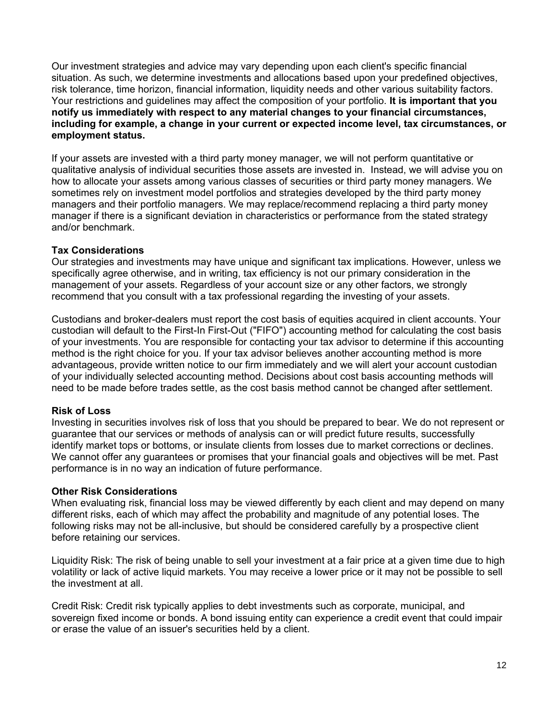Our investment strategies and advice may vary depending upon each client's specific financial situation. As such, we determine investments and allocations based upon your predefined objectives, risk tolerance, time horizon, financial information, liquidity needs and other various suitability factors. Your restrictions and guidelines may affect the composition of your portfolio. **It is important that you notify us immediately with respect to any material changes to your financial circumstances, including for example, a change in your current or expected income level, tax circumstances, or employment status.**

If your assets are invested with a third party money manager, we will not perform quantitative or qualitative analysis of individual securities those assets are invested in. Instead, we will advise you on how to allocate your assets among various classes of securities or third party money managers. We sometimes rely on investment model portfolios and strategies developed by the third party money managers and their portfolio managers. We may replace/recommend replacing a third party money manager if there is a significant deviation in characteristics or performance from the stated strategy and/or benchmark.

#### **Tax Considerations**

Our strategies and investments may have unique and significant tax implications. However, unless we specifically agree otherwise, and in writing, tax efficiency is not our primary consideration in the management of your assets. Regardless of your account size or any other factors, we strongly recommend that you consult with a tax professional regarding the investing of your assets.

Custodians and broker-dealers must report the cost basis of equities acquired in client accounts. Your custodian will default to the First-In First-Out ("FIFO") accounting method for calculating the cost basis of your investments. You are responsible for contacting your tax advisor to determine if this accounting method is the right choice for you. If your tax advisor believes another accounting method is more advantageous, provide written notice to our firm immediately and we will alert your account custodian of your individually selected accounting method. Decisions about cost basis accounting methods will need to be made before trades settle, as the cost basis method cannot be changed after settlement.

#### **Risk of Loss**

Investing in securities involves risk of loss that you should be prepared to bear. We do not represent or guarantee that our services or methods of analysis can or will predict future results, successfully identify market tops or bottoms, or insulate clients from losses due to market corrections or declines. We cannot offer any guarantees or promises that your financial goals and objectives will be met. Past performance is in no way an indication of future performance.

#### **Other Risk Considerations**

When evaluating risk, financial loss may be viewed differently by each client and may depend on many different risks, each of which may affect the probability and magnitude of any potential loses. The following risks may not be all-inclusive, but should be considered carefully by a prospective client before retaining our services.

Liquidity Risk: The risk of being unable to sell your investment at a fair price at a given time due to high volatility or lack of active liquid markets. You may receive a lower price or it may not be possible to sell the investment at all.

Credit Risk: Credit risk typically applies to debt investments such as corporate, municipal, and sovereign fixed income or bonds. A bond issuing entity can experience a credit event that could impair or erase the value of an issuer's securities held by a client.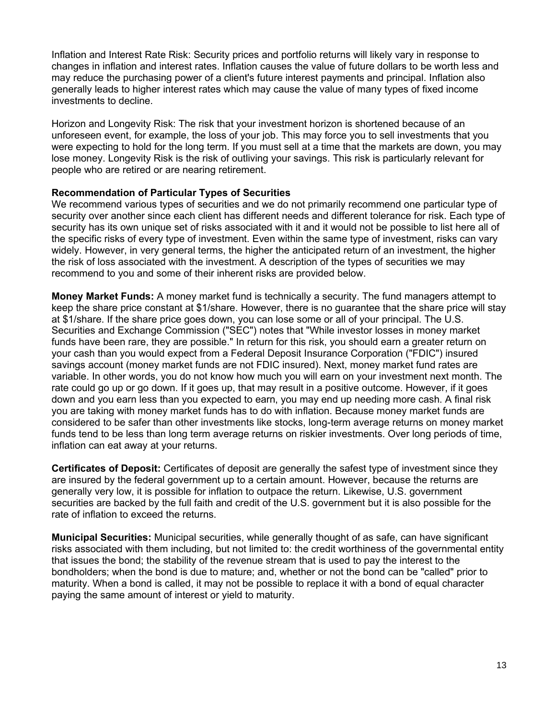Inflation and Interest Rate Risk: Security prices and portfolio returns will likely vary in response to changes in inflation and interest rates. Inflation causes the value of future dollars to be worth less and may reduce the purchasing power of a client's future interest payments and principal. Inflation also generally leads to higher interest rates which may cause the value of many types of fixed income investments to decline.

Horizon and Longevity Risk: The risk that your investment horizon is shortened because of an unforeseen event, for example, the loss of your job. This may force you to sell investments that you were expecting to hold for the long term. If you must sell at a time that the markets are down, you may lose money. Longevity Risk is the risk of outliving your savings. This risk is particularly relevant for people who are retired or are nearing retirement.

#### **Recommendation of Particular Types of Securities**

We recommend various types of securities and we do not primarily recommend one particular type of security over another since each client has different needs and different tolerance for risk. Each type of security has its own unique set of risks associated with it and it would not be possible to list here all of the specific risks of every type of investment. Even within the same type of investment, risks can vary widely. However, in very general terms, the higher the anticipated return of an investment, the higher the risk of loss associated with the investment. A description of the types of securities we may recommend to you and some of their inherent risks are provided below.

**Money Market Funds:** A money market fund is technically a security. The fund managers attempt to keep the share price constant at \$1/share. However, there is no guarantee that the share price will stay at \$1/share. If the share price goes down, you can lose some or all of your principal. The U.S. Securities and Exchange Commission ("SEC") notes that "While investor losses in money market funds have been rare, they are possible." In return for this risk, you should earn a greater return on your cash than you would expect from a Federal Deposit Insurance Corporation ("FDIC") insured savings account (money market funds are not FDIC insured). Next, money market fund rates are variable. In other words, you do not know how much you will earn on your investment next month. The rate could go up or go down. If it goes up, that may result in a positive outcome. However, if it goes down and you earn less than you expected to earn, you may end up needing more cash. A final risk you are taking with money market funds has to do with inflation. Because money market funds are considered to be safer than other investments like stocks, long-term average returns on money market funds tend to be less than long term average returns on riskier investments. Over long periods of time, inflation can eat away at your returns.

**Certificates of Deposit:** Certificates of deposit are generally the safest type of investment since they are insured by the federal government up to a certain amount. However, because the returns are generally very low, it is possible for inflation to outpace the return. Likewise, U.S. government securities are backed by the full faith and credit of the U.S. government but it is also possible for the rate of inflation to exceed the returns.

**Municipal Securities:** Municipal securities, while generally thought of as safe, can have significant risks associated with them including, but not limited to: the credit worthiness of the governmental entity that issues the bond; the stability of the revenue stream that is used to pay the interest to the bondholders; when the bond is due to mature; and, whether or not the bond can be "called" prior to maturity. When a bond is called, it may not be possible to replace it with a bond of equal character paying the same amount of interest or yield to maturity.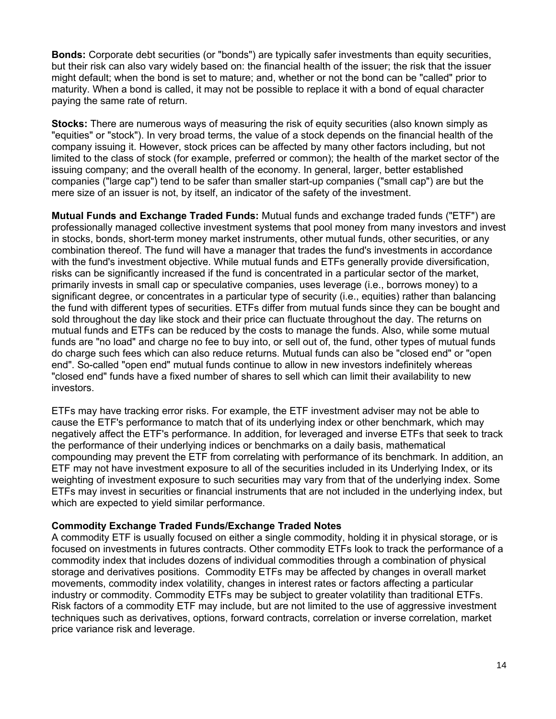**Bonds:** Corporate debt securities (or "bonds") are typically safer investments than equity securities, but their risk can also vary widely based on: the financial health of the issuer; the risk that the issuer might default; when the bond is set to mature; and, whether or not the bond can be "called" prior to maturity. When a bond is called, it may not be possible to replace it with a bond of equal character paying the same rate of return.

**Stocks:** There are numerous ways of measuring the risk of equity securities (also known simply as "equities" or "stock"). In very broad terms, the value of a stock depends on the financial health of the company issuing it. However, stock prices can be affected by many other factors including, but not limited to the class of stock (for example, preferred or common); the health of the market sector of the issuing company; and the overall health of the economy. In general, larger, better established companies ("large cap") tend to be safer than smaller start-up companies ("small cap") are but the mere size of an issuer is not, by itself, an indicator of the safety of the investment.

**Mutual Funds and Exchange Traded Funds:** Mutual funds and exchange traded funds ("ETF") are professionally managed collective investment systems that pool money from many investors and invest in stocks, bonds, short-term money market instruments, other mutual funds, other securities, or any combination thereof. The fund will have a manager that trades the fund's investments in accordance with the fund's investment objective. While mutual funds and ETFs generally provide diversification, risks can be significantly increased if the fund is concentrated in a particular sector of the market, primarily invests in small cap or speculative companies, uses leverage (i.e., borrows money) to a significant degree, or concentrates in a particular type of security (i.e., equities) rather than balancing the fund with different types of securities. ETFs differ from mutual funds since they can be bought and sold throughout the day like stock and their price can fluctuate throughout the day. The returns on mutual funds and ETFs can be reduced by the costs to manage the funds. Also, while some mutual funds are "no load" and charge no fee to buy into, or sell out of, the fund, other types of mutual funds do charge such fees which can also reduce returns. Mutual funds can also be "closed end" or "open end". So-called "open end" mutual funds continue to allow in new investors indefinitely whereas "closed end" funds have a fixed number of shares to sell which can limit their availability to new investors.

ETFs may have tracking error risks. For example, the ETF investment adviser may not be able to cause the ETF's performance to match that of its underlying index or other benchmark, which may negatively affect the ETF's performance. In addition, for leveraged and inverse ETFs that seek to track the performance of their underlying indices or benchmarks on a daily basis, mathematical compounding may prevent the ETF from correlating with performance of its benchmark. In addition, an ETF may not have investment exposure to all of the securities included in its Underlying Index, or its weighting of investment exposure to such securities may vary from that of the underlying index. Some ETFs may invest in securities or financial instruments that are not included in the underlying index, but which are expected to yield similar performance.

#### **Commodity Exchange Traded Funds/Exchange Traded Notes**

A commodity ETF is usually focused on either a single commodity, holding it in physical storage, or is focused on investments in futures contracts. Other commodity ETFs look to track the performance of a commodity index that includes dozens of individual commodities through a combination of physical storage and derivatives positions. Commodity ETFs may be affected by changes in overall market movements, commodity index volatility, changes in interest rates or factors affecting a particular industry or commodity. Commodity ETFs may be subject to greater volatility than traditional ETFs. Risk factors of a commodity ETF may include, but are not limited to the use of aggressive investment techniques such as derivatives, options, forward contracts, correlation or inverse correlation, market price variance risk and leverage.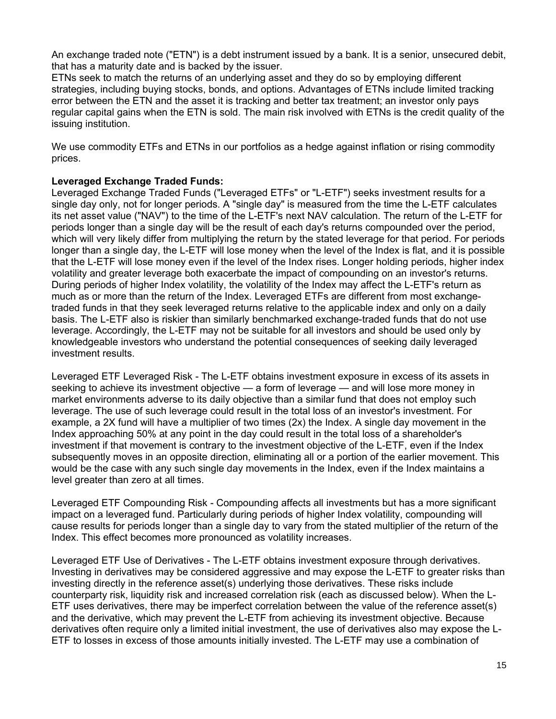An exchange traded note ("ETN") is a debt instrument issued by a bank. It is a senior, unsecured debit, that has a maturity date and is backed by the issuer.

ETNs seek to match the returns of an underlying asset and they do so by employing different strategies, including buying stocks, bonds, and options. Advantages of ETNs include limited tracking error between the ETN and the asset it is tracking and better tax treatment; an investor only pays regular capital gains when the ETN is sold. The main risk involved with ETNs is the credit quality of the issuing institution.

We use commodity ETFs and ETNs in our portfolios as a hedge against inflation or rising commodity prices.

#### **Leveraged Exchange Traded Funds:**

Leveraged Exchange Traded Funds ("Leveraged ETFs" or "L-ETF") seeks investment results for a single day only, not for longer periods. A "single day" is measured from the time the L-ETF calculates its net asset value ("NAV") to the time of the L-ETF's next NAV calculation. The return of the L-ETF for periods longer than a single day will be the result of each day's returns compounded over the period, which will very likely differ from multiplying the return by the stated leverage for that period. For periods longer than a single day, the L-ETF will lose money when the level of the Index is flat, and it is possible that the L-ETF will lose money even if the level of the Index rises. Longer holding periods, higher index volatility and greater leverage both exacerbate the impact of compounding on an investor's returns. During periods of higher Index volatility, the volatility of the Index may affect the L-ETF's return as much as or more than the return of the Index. Leveraged ETFs are different from most exchangetraded funds in that they seek leveraged returns relative to the applicable index and only on a daily basis. The L-ETF also is riskier than similarly benchmarked exchange-traded funds that do not use leverage. Accordingly, the L-ETF may not be suitable for all investors and should be used only by knowledgeable investors who understand the potential consequences of seeking daily leveraged investment results.

Leveraged ETF Leveraged Risk - The L-ETF obtains investment exposure in excess of its assets in seeking to achieve its investment objective — a form of leverage — and will lose more money in market environments adverse to its daily objective than a similar fund that does not employ such leverage. The use of such leverage could result in the total loss of an investor's investment. For example, a 2X fund will have a multiplier of two times (2x) the Index. A single day movement in the Index approaching 50% at any point in the day could result in the total loss of a shareholder's investment if that movement is contrary to the investment objective of the L-ETF, even if the Index subsequently moves in an opposite direction, eliminating all or a portion of the earlier movement. This would be the case with any such single day movements in the Index, even if the Index maintains a level greater than zero at all times.

Leveraged ETF Compounding Risk - Compounding affects all investments but has a more significant impact on a leveraged fund. Particularly during periods of higher Index volatility, compounding will cause results for periods longer than a single day to vary from the stated multiplier of the return of the Index. This effect becomes more pronounced as volatility increases.

Leveraged ETF Use of Derivatives - The L-ETF obtains investment exposure through derivatives. Investing in derivatives may be considered aggressive and may expose the L-ETF to greater risks than investing directly in the reference asset(s) underlying those derivatives. These risks include counterparty risk, liquidity risk and increased correlation risk (each as discussed below). When the L-ETF uses derivatives, there may be imperfect correlation between the value of the reference asset(s) and the derivative, which may prevent the L-ETF from achieving its investment objective. Because derivatives often require only a limited initial investment, the use of derivatives also may expose the L-ETF to losses in excess of those amounts initially invested. The L-ETF may use a combination of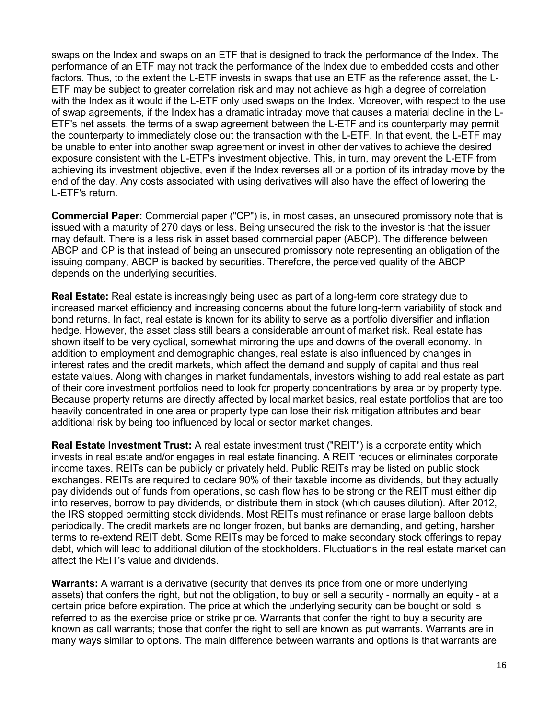swaps on the Index and swaps on an ETF that is designed to track the performance of the Index. The performance of an ETF may not track the performance of the Index due to embedded costs and other factors. Thus, to the extent the L-ETF invests in swaps that use an ETF as the reference asset, the L-ETF may be subject to greater correlation risk and may not achieve as high a degree of correlation with the Index as it would if the L-ETF only used swaps on the Index. Moreover, with respect to the use of swap agreements, if the Index has a dramatic intraday move that causes a material decline in the L-ETF's net assets, the terms of a swap agreement between the L-ETF and its counterparty may permit the counterparty to immediately close out the transaction with the L-ETF. In that event, the L-ETF may be unable to enter into another swap agreement or invest in other derivatives to achieve the desired exposure consistent with the L-ETF's investment objective. This, in turn, may prevent the L-ETF from achieving its investment objective, even if the Index reverses all or a portion of its intraday move by the end of the day. Any costs associated with using derivatives will also have the effect of lowering the L-ETF's return.

**Commercial Paper:** Commercial paper ("CP") is, in most cases, an unsecured promissory note that is issued with a maturity of 270 days or less. Being unsecured the risk to the investor is that the issuer may default. There is a less risk in asset based commercial paper (ABCP). The difference between ABCP and CP is that instead of being an unsecured promissory note representing an obligation of the issuing company, ABCP is backed by securities. Therefore, the perceived quality of the ABCP depends on the underlying securities.

**Real Estate:** Real estate is increasingly being used as part of a long-term core strategy due to increased market efficiency and increasing concerns about the future long-term variability of stock and bond returns. In fact, real estate is known for its ability to serve as a portfolio diversifier and inflation hedge. However, the asset class still bears a considerable amount of market risk. Real estate has shown itself to be very cyclical, somewhat mirroring the ups and downs of the overall economy. In addition to employment and demographic changes, real estate is also influenced by changes in interest rates and the credit markets, which affect the demand and supply of capital and thus real estate values. Along with changes in market fundamentals, investors wishing to add real estate as part of their core investment portfolios need to look for property concentrations by area or by property type. Because property returns are directly affected by local market basics, real estate portfolios that are too heavily concentrated in one area or property type can lose their risk mitigation attributes and bear additional risk by being too influenced by local or sector market changes.

**Real Estate Investment Trust:** A real estate investment trust ("REIT") is a corporate entity which invests in real estate and/or engages in real estate financing. A REIT reduces or eliminates corporate income taxes. REITs can be publicly or privately held. Public REITs may be listed on public stock exchanges. REITs are required to declare 90% of their taxable income as dividends, but they actually pay dividends out of funds from operations, so cash flow has to be strong or the REIT must either dip into reserves, borrow to pay dividends, or distribute them in stock (which causes dilution). After 2012, the IRS stopped permitting stock dividends. Most REITs must refinance or erase large balloon debts periodically. The credit markets are no longer frozen, but banks are demanding, and getting, harsher terms to re-extend REIT debt. Some REITs may be forced to make secondary stock offerings to repay debt, which will lead to additional dilution of the stockholders. Fluctuations in the real estate market can affect the REIT's value and dividends.

**Warrants:** A warrant is a derivative (security that derives its price from one or more underlying assets) that confers the right, but not the obligation, to buy or sell a security - normally an equity - at a certain price before expiration. The price at which the underlying security can be bought or sold is referred to as the exercise price or strike price. Warrants that confer the right to buy a security are known as call warrants; those that confer the right to sell are known as put warrants. Warrants are in many ways similar to options. The main difference between warrants and options is that warrants are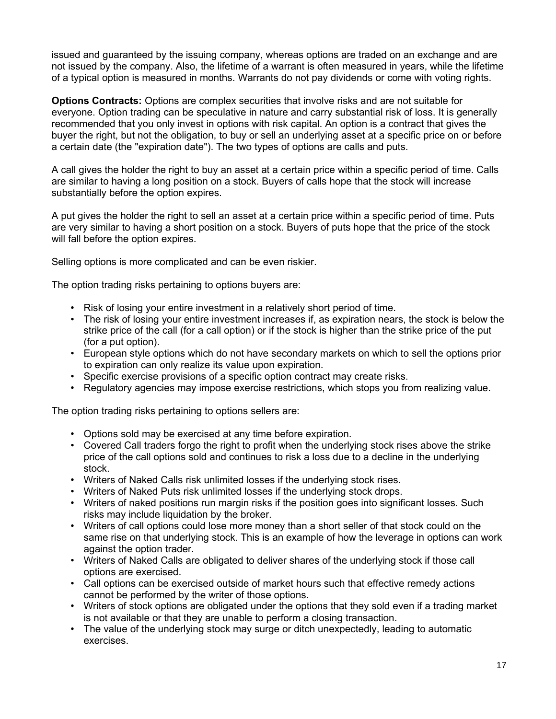issued and guaranteed by the issuing company, whereas options are traded on an exchange and are not issued by the company. Also, the lifetime of a warrant is often measured in years, while the lifetime of a typical option is measured in months. Warrants do not pay dividends or come with voting rights.

**Options Contracts:** Options are complex securities that involve risks and are not suitable for everyone. Option trading can be speculative in nature and carry substantial risk of loss. It is generally recommended that you only invest in options with risk capital. An option is a contract that gives the buyer the right, but not the obligation, to buy or sell an underlying asset at a specific price on or before a certain date (the "expiration date"). The two types of options are calls and puts.

A call gives the holder the right to buy an asset at a certain price within a specific period of time. Calls are similar to having a long position on a stock. Buyers of calls hope that the stock will increase substantially before the option expires.

A put gives the holder the right to sell an asset at a certain price within a specific period of time. Puts are very similar to having a short position on a stock. Buyers of puts hope that the price of the stock will fall before the option expires.

Selling options is more complicated and can be even riskier.

The option trading risks pertaining to options buyers are:

- Risk of losing your entire investment in a relatively short period of time.
- The risk of losing your entire investment increases if, as expiration nears, the stock is below the strike price of the call (for a call option) or if the stock is higher than the strike price of the put (for a put option).
- European style options which do not have secondary markets on which to sell the options prior to expiration can only realize its value upon expiration.
- Specific exercise provisions of a specific option contract may create risks.
- Regulatory agencies may impose exercise restrictions, which stops you from realizing value.

The option trading risks pertaining to options sellers are:

- Options sold may be exercised at any time before expiration.
- Covered Call traders forgo the right to profit when the underlying stock rises above the strike price of the call options sold and continues to risk a loss due to a decline in the underlying stock.
- Writers of Naked Calls risk unlimited losses if the underlying stock rises.
- Writers of Naked Puts risk unlimited losses if the underlying stock drops.
- Writers of naked positions run margin risks if the position goes into significant losses. Such risks may include liquidation by the broker.
- Writers of call options could lose more money than a short seller of that stock could on the same rise on that underlying stock. This is an example of how the leverage in options can work against the option trader.
- Writers of Naked Calls are obligated to deliver shares of the underlying stock if those call options are exercised.
- Call options can be exercised outside of market hours such that effective remedy actions cannot be performed by the writer of those options.
- Writers of stock options are obligated under the options that they sold even if a trading market is not available or that they are unable to perform a closing transaction.
- The value of the underlying stock may surge or ditch unexpectedly, leading to automatic exercises.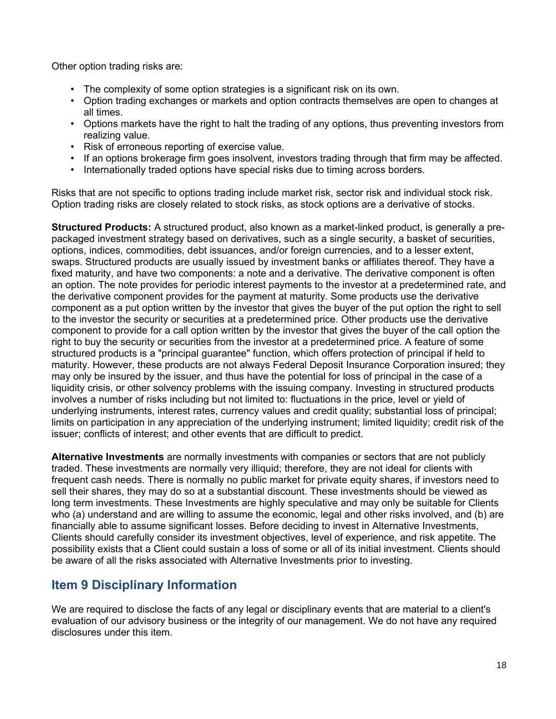Other option trading risks are:

- The complexity of some option strategies is a significant risk on its own.
- Option trading exchanges or markets and option contracts themselves are open to changes at all times.
- Options markets have the right to halt the trading of any options, thus preventing investors from realizing value.
- Risk of erroneous reporting of exercise value.
- If an options brokerage firm goes insolvent, investors trading through that firm may be affected.
- Internationally traded options have special risks due to timing across borders.

Risks that are not specific to options trading include market risk, sector risk and individual stock risk. Option trading risks are closely related to stock risks, as stock options are a derivative of stocks.

**Structured Products:** A structured product, also known as a market-linked product, is generally a prepackaged investment strategy based on derivatives, such as a single security, a basket of securities, options, indices, commodities, debt issuances, and/or foreign currencies, and to a lesser extent, swaps. Structured products are usually issued by investment banks or affiliates thereof. They have a fixed maturity, and have two components: a note and a derivative. The derivative component is often an option. The note provides for periodic interest payments to the investor at a predetermined rate, and the derivative component provides for the payment at maturity. Some products use the derivative component as a put option written by the investor that gives the buyer of the put option the right to sell to the investor the security or securities at a predetermined price. Other products use the derivative component to provide for a call option written by the investor that gives the buyer of the call option the right to buy the security or securities from the investor at a predetermined price. A feature of some structured products is a "principal guarantee" function, which offers protection of principal if held to maturity. However, these products are not always Federal Deposit Insurance Corporation insured; they may only be insured by the issuer, and thus have the potential for loss of principal in the case of a liquidity crisis, or other solvency problems with the issuing company. Investing in structured products involves a number of risks including but not limited to: fluctuations in the price, level or yield of underlying instruments, interest rates, currency values and credit quality; substantial loss of principal; limits on participation in any appreciation of the underlying instrument; limited liquidity; credit risk of the issuer; conflicts of interest; and other events that are difficult to predict.

**Alternative Investments** are normally investments with companies or sectors that are not publicly traded. These investments are normally very illiquid; therefore, they are not ideal for clients with frequent cash needs. There is normally no public market for private equity shares, if investors need to sell their shares, they may do so at a substantial discount. These investments should be viewed as long term investments. These Investments are highly speculative and may only be suitable for Clients who (a) understand and are willing to assume the economic, legal and other risks involved, and (b) are financially able to assume significant losses. Before deciding to invest in Alternative Investments, Clients should carefully consider its investment objectives, level of experience, and risk appetite. The possibility exists that a Client could sustain a loss of some or all of its initial investment. Clients should be aware of all the risks associated with Alternative Investments prior to investing.

# <span id="page-17-0"></span>**Item 9 Disciplinary Information**

We are required to disclose the facts of any legal or disciplinary events that are material to a client's evaluation of our advisory business or the integrity of our management. We do not have any required disclosures under this item.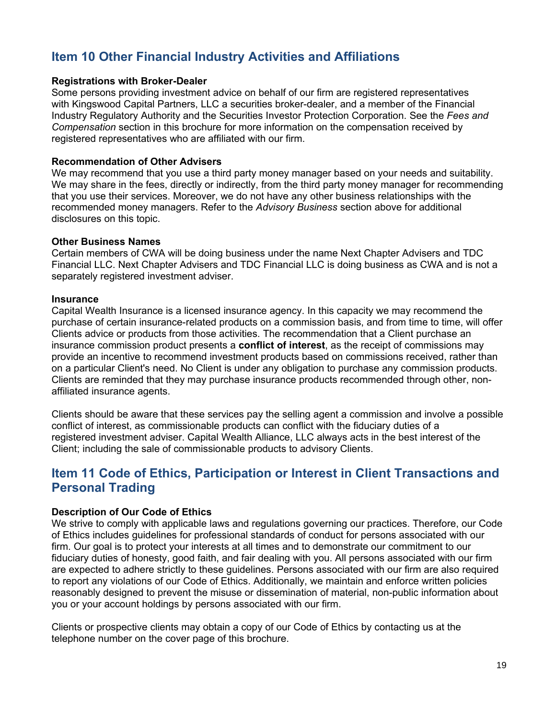# <span id="page-18-1"></span>**Item 10 Other Financial Industry Activities and Affiliations**

#### **Registrations with Broker-Dealer**

Some persons providing investment advice on behalf of our firm are registered representatives with Kingswood Capital Partners, LLC a securities broker-dealer, and a member of the Financial Industry Regulatory Authority and the Securities Investor Protection Corporation. See the *Fees and Compensation* section in this brochure for more information on the compensation received by registered representatives who are affiliated with our firm.

#### **Recommendation of Other Advisers**

We may recommend that you use a third party money manager based on your needs and suitability. We may share in the fees, directly or indirectly, from the third party money manager for recommending that you use their services. Moreover, we do not have any other business relationships with the recommended money managers. Refer to the *Advisory Business* section above for additional disclosures on this topic.

#### **Other Business Names**

Certain members of CWA will be doing business under the name Next Chapter Advisers and TDC Financial LLC. Next Chapter Advisers and TDC Financial LLC is doing business as CWA and is not a separately registered investment adviser.

#### **Insurance**

Capital Wealth Insurance is a licensed insurance agency. In this capacity we may recommend the purchase of certain insurance-related products on a commission basis, and from time to time, will offer Clients advice or products from those activities. The recommendation that a Client purchase an insurance commission product presents a **conflict of interest**, as the receipt of commissions may provide an incentive to recommend investment products based on commissions received, rather than on a particular Client's need. No Client is under any obligation to purchase any commission products. Clients are reminded that they may purchase insurance products recommended through other, nonaffiliated insurance agents.

Clients should be aware that these services pay the selling agent a commission and involve a possible conflict of interest, as commissionable products can conflict with the fiduciary duties of a registered investment adviser. Capital Wealth Alliance, LLC always acts in the best interest of the Client; including the sale of commissionable products to advisory Clients.

# <span id="page-18-0"></span>**Item 11 Code of Ethics, Participation or Interest in Client Transactions and Personal Trading**

#### **Description of Our Code of Ethics**

We strive to comply with applicable laws and regulations governing our practices. Therefore, our Code of Ethics includes guidelines for professional standards of conduct for persons associated with our firm. Our goal is to protect your interests at all times and to demonstrate our commitment to our fiduciary duties of honesty, good faith, and fair dealing with you. All persons associated with our firm are expected to adhere strictly to these guidelines. Persons associated with our firm are also required to report any violations of our Code of Ethics. Additionally, we maintain and enforce written policies reasonably designed to prevent the misuse or dissemination of material, non-public information about you or your account holdings by persons associated with our firm.

Clients or prospective clients may obtain a copy of our Code of Ethics by contacting us at the telephone number on the cover page of this brochure.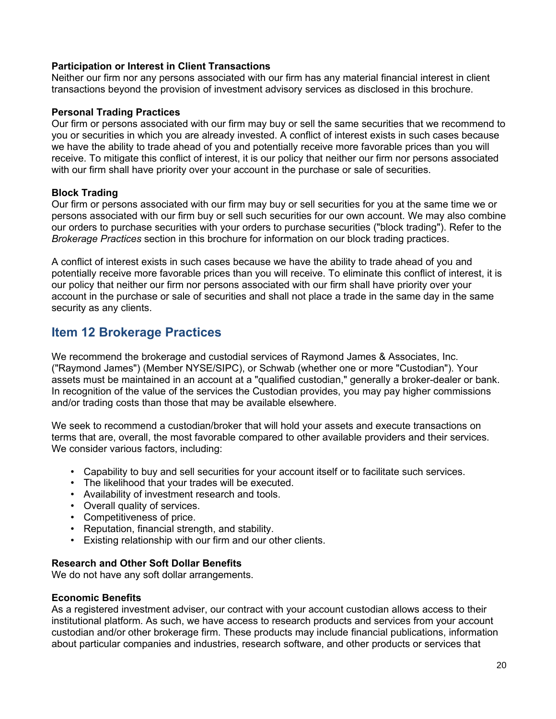#### **Participation or Interest in Client Transactions**

Neither our firm nor any persons associated with our firm has any material financial interest in client transactions beyond the provision of investment advisory services as disclosed in this brochure.

#### **Personal Trading Practices**

Our firm or persons associated with our firm may buy or sell the same securities that we recommend to you or securities in which you are already invested. A conflict of interest exists in such cases because we have the ability to trade ahead of you and potentially receive more favorable prices than you will receive. To mitigate this conflict of interest, it is our policy that neither our firm nor persons associated with our firm shall have priority over your account in the purchase or sale of securities.

#### **Block Trading**

Our firm or persons associated with our firm may buy or sell securities for you at the same time we or persons associated with our firm buy or sell such securities for our own account. We may also combine our orders to purchase securities with your orders to purchase securities ("block trading"). Refer to the *Brokerage Practices* section in this brochure for information on our block trading practices.

A conflict of interest exists in such cases because we have the ability to trade ahead of you and potentially receive more favorable prices than you will receive. To eliminate this conflict of interest, it is our policy that neither our firm nor persons associated with our firm shall have priority over your account in the purchase or sale of securities and shall not place a trade in the same day in the same security as any clients.

### <span id="page-19-0"></span>**Item 12 Brokerage Practices**

We recommend the brokerage and custodial services of Raymond James & Associates, Inc. ("Raymond James") (Member NYSE/SIPC), or Schwab (whether one or more "Custodian"). Your assets must be maintained in an account at a "qualified custodian," generally a broker-dealer or bank. In recognition of the value of the services the Custodian provides, you may pay higher commissions and/or trading costs than those that may be available elsewhere.

We seek to recommend a custodian/broker that will hold your assets and execute transactions on terms that are, overall, the most favorable compared to other available providers and their services. We consider various factors, including:

- Capability to buy and sell securities for your account itself or to facilitate such services.
- The likelihood that your trades will be executed.
- Availability of investment research and tools.
- Overall quality of services.
- Competitiveness of price.
- Reputation, financial strength, and stability.
- Existing relationship with our firm and our other clients.

#### **Research and Other Soft Dollar Benefits**

We do not have any soft dollar arrangements.

#### **Economic Benefits**

As a registered investment adviser, our contract with your account custodian allows access to their institutional platform. As such, we have access to research products and services from your account custodian and/or other brokerage firm. These products may include financial publications, information about particular companies and industries, research software, and other products or services that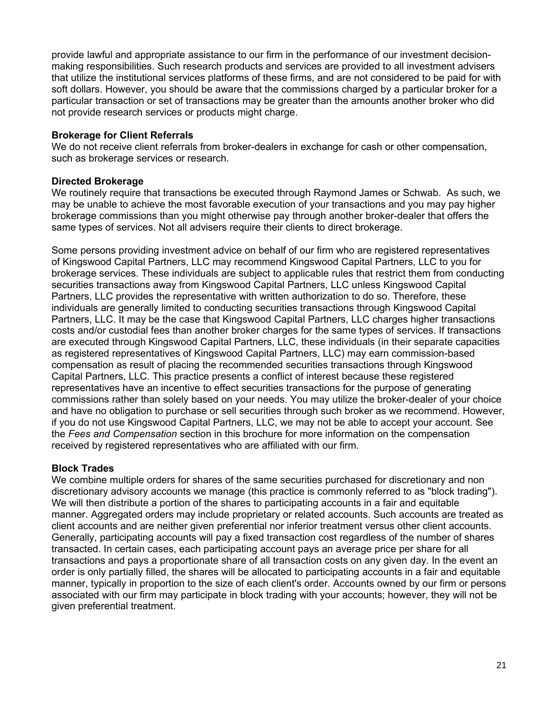provide lawful and appropriate assistance to our firm in the performance of our investment decisionmaking responsibilities. Such research products and services are provided to all investment advisers that utilize the institutional services platforms of these firms, and are not considered to be paid for with soft dollars. However, you should be aware that the commissions charged by a particular broker for a particular transaction or set of transactions may be greater than the amounts another broker who did not provide research services or products might charge.

#### **Brokerage for Client Referrals**

We do not receive client referrals from broker-dealers in exchange for cash or other compensation, such as brokerage services or research.

#### **Directed Brokerage**

We routinely require that transactions be executed through Raymond James or Schwab. As such, we may be unable to achieve the most favorable execution of your transactions and you may pay higher brokerage commissions than you might otherwise pay through another broker-dealer that offers the same types of services. Not all advisers require their clients to direct brokerage.

Some persons providing investment advice on behalf of our firm who are registered representatives of Kingswood Capital Partners, LLC may recommend Kingswood Capital Partners, LLC to you for brokerage services. These individuals are subject to applicable rules that restrict them from conducting securities transactions away from Kingswood Capital Partners, LLC unless Kingswood Capital Partners, LLC provides the representative with written authorization to do so. Therefore, these individuals are generally limited to conducting securities transactions through Kingswood Capital Partners, LLC. It may be the case that Kingswood Capital Partners, LLC charges higher transactions costs and/or custodial fees than another broker charges for the same types of services. If transactions are executed through Kingswood Capital Partners, LLC, these individuals (in their separate capacities as registered representatives of Kingswood Capital Partners, LLC) may earn commission-based compensation as result of placing the recommended securities transactions through Kingswood Capital Partners, LLC. This practice presents a conflict of interest because these registered representatives have an incentive to effect securities transactions for the purpose of generating commissions rather than solely based on your needs. You may utilize the broker-dealer of your choice and have no obligation to purchase or sell securities through such broker as we recommend. However, if you do not use Kingswood Capital Partners, LLC, we may not be able to accept your account. See the *Fees and Compensation* section in this brochure for more information on the compensation received by registered representatives who are affiliated with our firm.

#### **Block Trades**

We combine multiple orders for shares of the same securities purchased for discretionary and non discretionary advisory accounts we manage (this practice is commonly referred to as "block trading"). We will then distribute a portion of the shares to participating accounts in a fair and equitable manner. Aggregated orders may include proprietary or related accounts. Such accounts are treated as client accounts and are neither given preferential nor inferior treatment versus other client accounts. Generally, participating accounts will pay a fixed transaction cost regardless of the number of shares transacted. In certain cases, each participating account pays an average price per share for all transactions and pays a proportionate share of all transaction costs on any given day. In the event an order is only partially filled, the shares will be allocated to participating accounts in a fair and equitable manner, typically in proportion to the size of each client's order. Accounts owned by our firm or persons associated with our firm may participate in block trading with your accounts; however, they will not be given preferential treatment.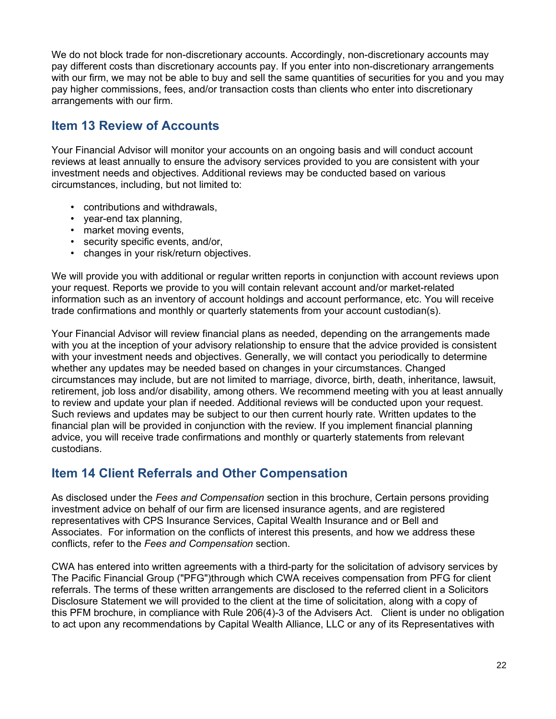We do not block trade for non-discretionary accounts. Accordingly, non-discretionary accounts may pay different costs than discretionary accounts pay. If you enter into non-discretionary arrangements with our firm, we may not be able to buy and sell the same quantities of securities for you and you may pay higher commissions, fees, and/or transaction costs than clients who enter into discretionary arrangements with our firm.

# <span id="page-21-1"></span>**Item 13 Review of Accounts**

Your Financial Advisor will monitor your accounts on an ongoing basis and will conduct account reviews at least annually to ensure the advisory services provided to you are consistent with your investment needs and objectives. Additional reviews may be conducted based on various circumstances, including, but not limited to:

- contributions and withdrawals,
- year-end tax planning,
- market moving events,
- security specific events, and/or,
- changes in your risk/return objectives.

We will provide you with additional or regular written reports in conjunction with account reviews upon your request. Reports we provide to you will contain relevant account and/or market-related information such as an inventory of account holdings and account performance, etc. You will receive trade confirmations and monthly or quarterly statements from your account custodian(s).

Your Financial Advisor will review financial plans as needed, depending on the arrangements made with you at the inception of your advisory relationship to ensure that the advice provided is consistent with your investment needs and objectives. Generally, we will contact you periodically to determine whether any updates may be needed based on changes in your circumstances. Changed circumstances may include, but are not limited to marriage, divorce, birth, death, inheritance, lawsuit, retirement, job loss and/or disability, among others. We recommend meeting with you at least annually to review and update your plan if needed. Additional reviews will be conducted upon your request. Such reviews and updates may be subject to our then current hourly rate. Written updates to the financial plan will be provided in conjunction with the review. If you implement financial planning advice, you will receive trade confirmations and monthly or quarterly statements from relevant custodians.

# <span id="page-21-0"></span>**Item 14 Client Referrals and Other Compensation**

As disclosed under the *Fees and Compensation* section in this brochure, Certain persons providing investment advice on behalf of our firm are licensed insurance agents, and are registered representatives with CPS Insurance Services, Capital Wealth Insurance and or Bell and Associates. For information on the conflicts of interest this presents, and how we address these conflicts, refer to the *Fees and Compensation* section.

CWA has entered into written agreements with a third-party for the solicitation of advisory services by The Pacific Financial Group ("PFG")through which CWA receives compensation from PFG for client referrals. The terms of these written arrangements are disclosed to the referred client in a Solicitors Disclosure Statement we will provided to the client at the time of solicitation, along with a copy of this PFM brochure, in compliance with Rule 206(4)-3 of the Advisers Act. Client is under no obligation to act upon any recommendations by Capital Wealth Alliance, LLC or any of its Representatives with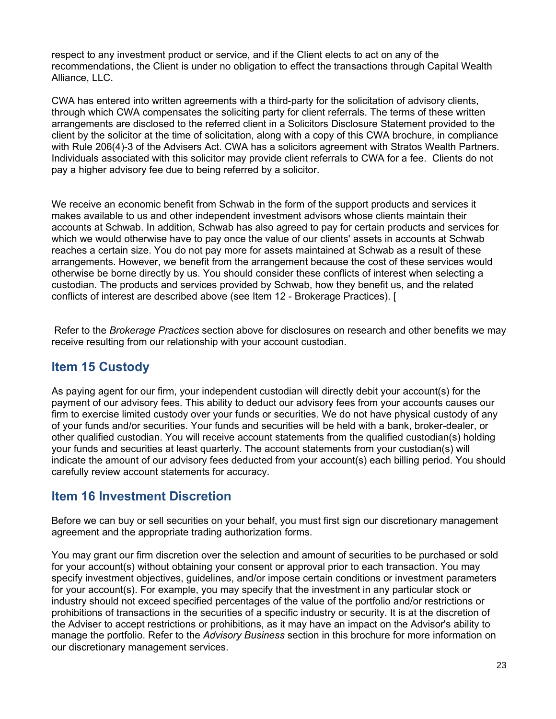respect to any investment product or service, and if the Client elects to act on any of the recommendations, the Client is under no obligation to effect the transactions through Capital Wealth Alliance, LLC.

CWA has entered into written agreements with a third-party for the solicitation of advisory clients, through which CWA compensates the soliciting party for client referrals. The terms of these written arrangements are disclosed to the referred client in a Solicitors Disclosure Statement provided to the client by the solicitor at the time of solicitation, along with a copy of this CWA brochure, in compliance with Rule 206(4)-3 of the Advisers Act. CWA has a solicitors agreement with Stratos Wealth Partners. Individuals associated with this solicitor may provide client referrals to CWA for a fee. Clients do not pay a higher advisory fee due to being referred by a solicitor.

We receive an economic benefit from Schwab in the form of the support products and services it makes available to us and other independent investment advisors whose clients maintain their accounts at Schwab. In addition, Schwab has also agreed to pay for certain products and services for which we would otherwise have to pay once the value of our clients' assets in accounts at Schwab reaches a certain size. You do not pay more for assets maintained at Schwab as a result of these arrangements. However, we benefit from the arrangement because the cost of these services would otherwise be borne directly by us. You should consider these conflicts of interest when selecting a custodian. The products and services provided by Schwab, how they benefit us, and the related conflicts of interest are described above (see Item 12 - Brokerage Practices). [

Refer to the *Brokerage Practices* section above for disclosures on research and other benefits we may receive resulting from our relationship with your account custodian.

### <span id="page-22-1"></span>**Item 15 Custody**

As paying agent for our firm, your independent custodian will directly debit your account(s) for the payment of our advisory fees. This ability to deduct our advisory fees from your accounts causes our firm to exercise limited custody over your funds or securities. We do not have physical custody of any of your funds and/or securities. Your funds and securities will be held with a bank, broker-dealer, or other qualified custodian. You will receive account statements from the qualified custodian(s) holding your funds and securities at least quarterly. The account statements from your custodian(s) will indicate the amount of our advisory fees deducted from your account(s) each billing period. You should carefully review account statements for accuracy.

### <span id="page-22-0"></span>**Item 16 Investment Discretion**

Before we can buy or sell securities on your behalf, you must first sign our discretionary management agreement and the appropriate trading authorization forms.

You may grant our firm discretion over the selection and amount of securities to be purchased or sold for your account(s) without obtaining your consent or approval prior to each transaction. You may specify investment objectives, guidelines, and/or impose certain conditions or investment parameters for your account(s). For example, you may specify that the investment in any particular stock or industry should not exceed specified percentages of the value of the portfolio and/or restrictions or prohibitions of transactions in the securities of a specific industry or security. It is at the discretion of the Adviser to accept restrictions or prohibitions, as it may have an impact on the Advisor's ability to manage the portfolio. Refer to the *Advisory Business* section in this brochure for more information on our discretionary management services.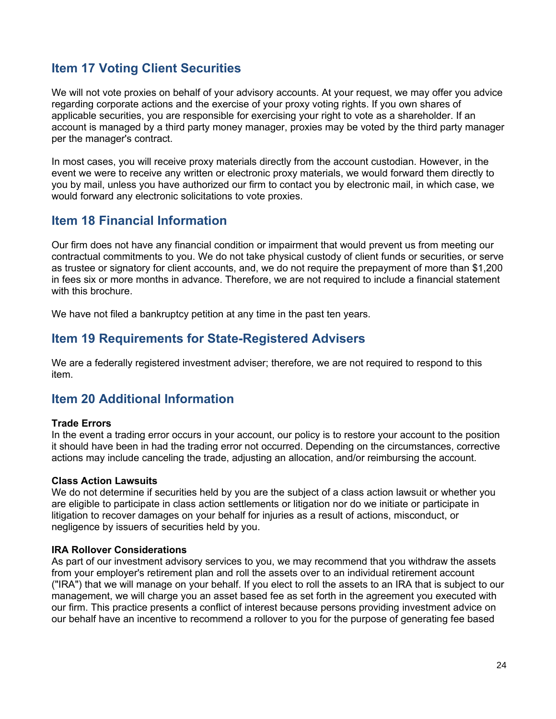# <span id="page-23-3"></span>**Item 17 Voting Client Securities**

We will not vote proxies on behalf of your advisory accounts. At your request, we may offer you advice regarding corporate actions and the exercise of your proxy voting rights. If you own shares of applicable securities, you are responsible for exercising your right to vote as a shareholder. If an account is managed by a third party money manager, proxies may be voted by the third party manager per the manager's contract.

In most cases, you will receive proxy materials directly from the account custodian. However, in the event we were to receive any written or electronic proxy materials, we would forward them directly to you by mail, unless you have authorized our firm to contact you by electronic mail, in which case, we would forward any electronic solicitations to vote proxies.

### <span id="page-23-2"></span>**Item 18 Financial Information**

Our firm does not have any financial condition or impairment that would prevent us from meeting our contractual commitments to you. We do not take physical custody of client funds or securities, or serve as trustee or signatory for client accounts, and, we do not require the prepayment of more than \$1,200 in fees six or more months in advance. Therefore, we are not required to include a financial statement with this brochure.

We have not filed a bankruptcy petition at any time in the past ten years.

### <span id="page-23-1"></span>**Item 19 Requirements for State-Registered Advisers**

We are a federally registered investment adviser; therefore, we are not required to respond to this item.

### <span id="page-23-0"></span>**Item 20 Additional Information**

#### **Trade Errors**

In the event a trading error occurs in your account, our policy is to restore your account to the position it should have been in had the trading error not occurred. Depending on the circumstances, corrective actions may include canceling the trade, adjusting an allocation, and/or reimbursing the account.

#### **Class Action Lawsuits**

We do not determine if securities held by you are the subject of a class action lawsuit or whether you are eligible to participate in class action settlements or litigation nor do we initiate or participate in litigation to recover damages on your behalf for injuries as a result of actions, misconduct, or negligence by issuers of securities held by you.

#### **IRA Rollover Considerations**

As part of our investment advisory services to you, we may recommend that you withdraw the assets from your employer's retirement plan and roll the assets over to an individual retirement account ("IRA") that we will manage on your behalf. If you elect to roll the assets to an IRA that is subject to our management, we will charge you an asset based fee as set forth in the agreement you executed with our firm. This practice presents a conflict of interest because persons providing investment advice on our behalf have an incentive to recommend a rollover to you for the purpose of generating fee based